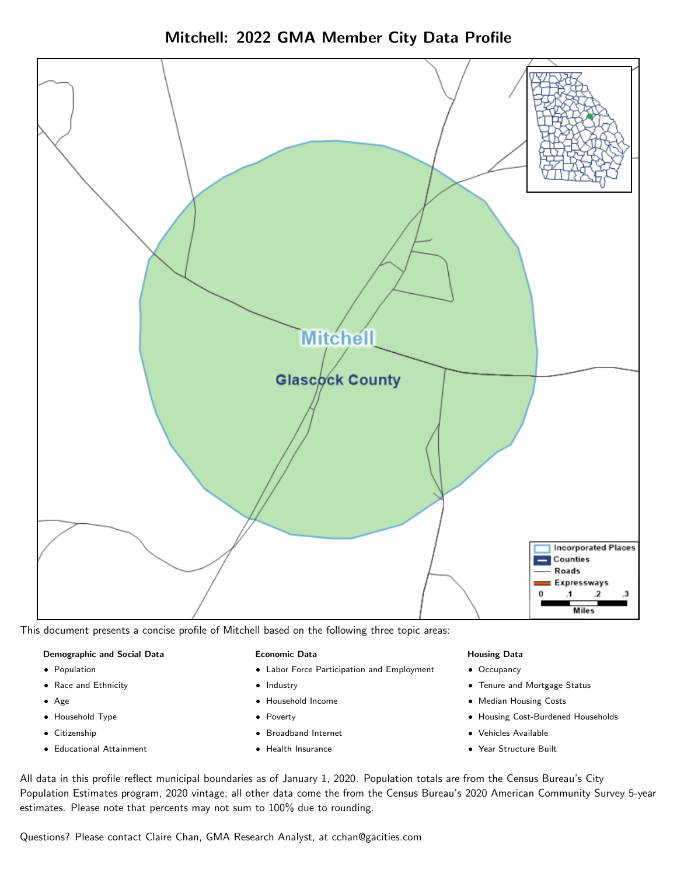Mitchell: 2022 GMA Member City Data Profile



This document presents a concise profile of Mitchell based on the following three topic areas:

#### Demographic and Social Data

- **•** Population
- Race and Ethnicity
- Age
- Household Type
- **Citizenship**
- Educational Attainment

#### Economic Data

- Labor Force Participation and Employment
- Industry
- Household Income
- Poverty
- Broadband Internet
- Health Insurance

#### Housing Data

- Occupancy
- Tenure and Mortgage Status
- Median Housing Costs
- Housing Cost-Burdened Households
- Vehicles Available
- Year Structure Built

All data in this profile reflect municipal boundaries as of January 1, 2020. Population totals are from the Census Bureau's City Population Estimates program, 2020 vintage; all other data come the from the Census Bureau's 2020 American Community Survey 5-year estimates. Please note that percents may not sum to 100% due to rounding.

Questions? Please contact Claire Chan, GMA Research Analyst, at [cchan@gacities.com.](mailto:cchan@gacities.com)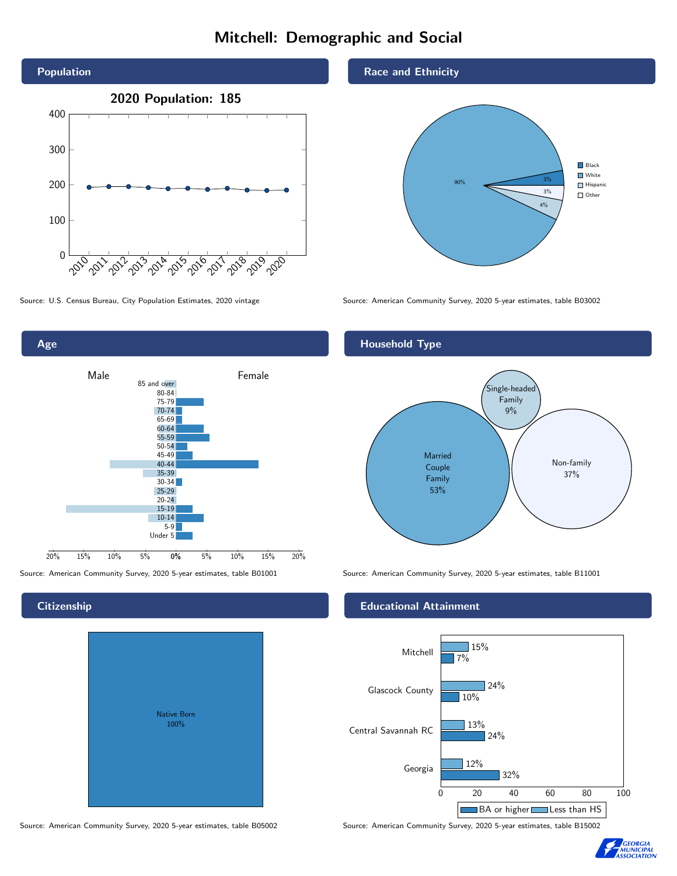# Mitchell: Demographic and Social





## **Citizenship**

| <b>Native Born</b><br>100% |  |
|----------------------------|--|
|                            |  |

Race and Ethnicity



Source: U.S. Census Bureau, City Population Estimates, 2020 vintage Source: American Community Survey, 2020 5-year estimates, table B03002

### Household Type



Source: American Community Survey, 2020 5-year estimates, table B01001 Source: American Community Survey, 2020 5-year estimates, table B11001

#### Educational Attainment



Source: American Community Survey, 2020 5-year estimates, table B05002 Source: American Community Survey, 2020 5-year estimates, table B15002

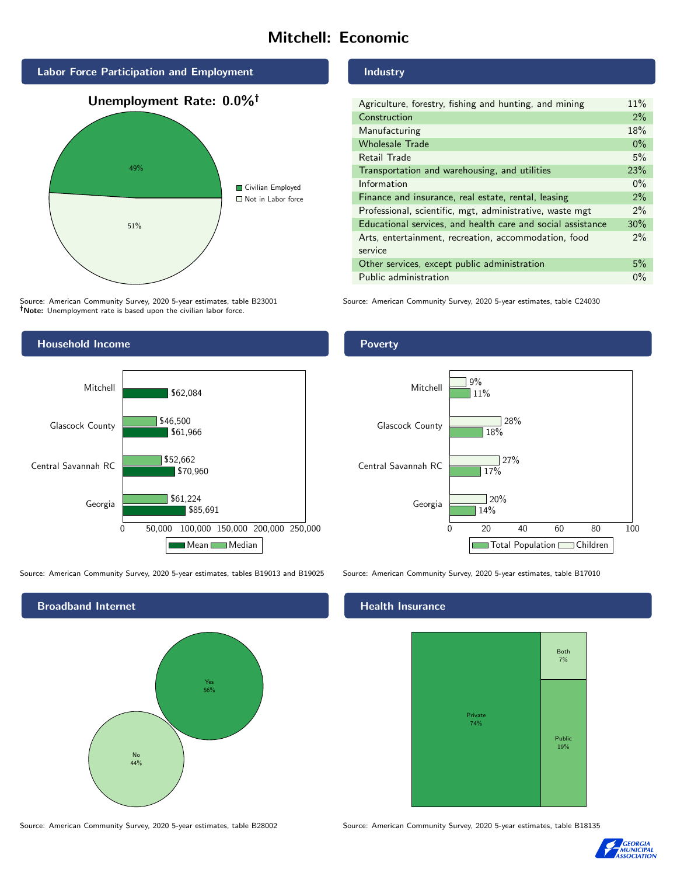# Mitchell: Economic



Source: American Community Survey, 2020 5-year estimates, table B23001 Note: Unemployment rate is based upon the civilian labor force.

### Industry

| Agriculture, forestry, fishing and hunting, and mining      | 11%   |
|-------------------------------------------------------------|-------|
| Construction                                                | 2%    |
| Manufacturing                                               | 18%   |
| <b>Wholesale Trade</b>                                      | $0\%$ |
| Retail Trade                                                | 5%    |
| Transportation and warehousing, and utilities               |       |
| Information                                                 | $0\%$ |
| Finance and insurance, real estate, rental, leasing         |       |
| Professional, scientific, mgt, administrative, waste mgt    |       |
| Educational services, and health care and social assistance |       |
| Arts, entertainment, recreation, accommodation, food        |       |
| service                                                     |       |
| Other services, except public administration                |       |
| Public administration                                       |       |

Source: American Community Survey, 2020 5-year estimates, table C24030



Source: American Community Survey, 2020 5-year estimates, tables B19013 and B19025 Source: American Community Survey, 2020 5-year estimates, table B17010

Broadband Internet No 44% Yes 56%

Poverty



## **Health Insurance**



Source: American Community Survey, 2020 5-year estimates, table B28002 Source: American Community Survey, 2020 5-year estimates, table B18135